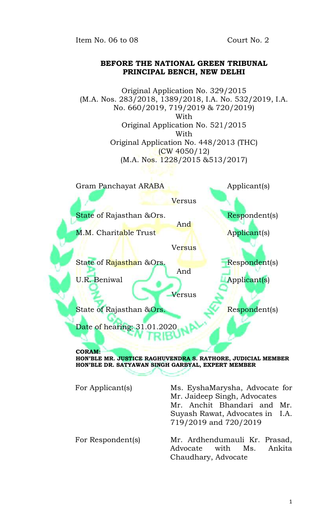Item No. 06 to 08 Court No. 2

## **BEFORE THE NATIONAL GREEN TRIBUNAL PRINCIPAL BENCH, NEW DELHI**

Original Application No. 329/2015 (M.A. Nos. 283/2018, 1389/2018, I.A. No. 532/2019, I.A. No. 660/2019, 719/2019 & 720/2019) With Original Application No. 521/2015 With Original Application No. 448/2013 (THC) (CW 4050/12) (M.A. Nos. 1228/2015 &513/2017)

Gram Panchayat ARABA Applicant(s) **Versus** State of Rajasthan &Ors. Respondents And M.M. Charitable Trust Applicant(s) **Versus** State of Rajasthan &Ors. Respondent(s) And U.R. Beniwal **Applicant** (s) Versus State of Rajasthan & Ors. Respondent(s) Date of hearing: 31.01.2020 **CORAM:**

**HON'BLE MR. JUSTICE RAGHUVENDRA S. RATHORE, JUDICIAL MEMBER HON'BLE DR. SATYAWAN SINGH GARBYAL, EXPERT MEMBER**

For Applicant(s) Ms. EyshaMarysha, Advocate for Mr. Jaideep Singh, Advocates Mr. Anchit Bhandari and Mr. Suyash Rawat, Advocates in I.A. 719/2019 and 720/2019 For Respondent(s) Mr. Ardhendumauli Kr. Prasad, Advocate with Ms. Ankita Chaudhary, Advocate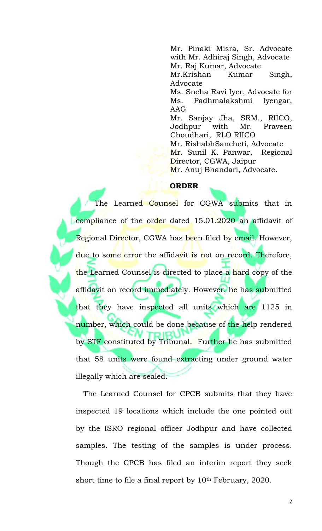Mr. Pinaki Misra, Sr. Advocate with Mr. Adhiraj Singh, Advocate Mr. Raj Kumar, Advocate Mr.Krishan Kumar Singh, Advocate Ms. Sneha Ravi Iyer, Advocate for Ms. Padhmalakshmi Iyengar, AAG Mr. Sanjay Jha, SRM., RIICO, Jodhpur with Mr. Praveen Choudhari, RLO RIICO Mr. RishabhSancheti, Advocate Mr. Sunil K. Panwar, Regional Director, CGWA, Jaipur Mr. Anuj Bhandari, Advocate.

## **ORDER**

The Learned Counsel for CGWA submits that in compliance of the order dated 15.01.2020 an affidavit of Regional Director, CGWA has been filed by email. However, due to some error the affidavit is not on record. Therefore, the Learned Counsel is directed to place a hard copy of the affidavit on record immediately. However, he has submitted that they have inspected all units which are 1125 in number, which could be done because of the help rendered by STF constituted by Tribunal. Further he has submitted that 58 units were found extracting under ground water illegally which are sealed.

The Learned Counsel for CPCB submits that they have inspected 19 locations which include the one pointed out by the ISRO regional officer Jodhpur and have collected samples. The testing of the samples is under process. Though the CPCB has filed an interim report they seek short time to file a final report by 10<sup>th</sup> February, 2020.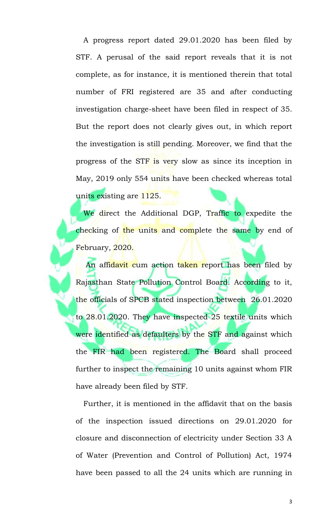A progress report dated 29.01.2020 has been filed by STF. A perusal of the said report reveals that it is not complete, as for instance, it is mentioned therein that total number of FRI registered are 35 and after conducting investigation charge-sheet have been filed in respect of 35. But the report does not clearly gives out, in which report the investigation is still pending. Moreover, we find that the progress of the STF is very slow as since its inception in May, 2019 only 554 units have been checked whereas total units existing are 1125.

We direct the Additional DGP, Traffic to expedite the checking of the units and complete the same by end of February, 2020.

An affidavit cum action taken report has been filed by Rajasthan State Pollution Control Board. According to it, the officials of SPCB stated inspection between 26.01.2020 to 28.01.2020. They have inspected 25 textile units which were identified as defaulters by the STF and against which the FIR had been registered. The Board shall proceed further to inspect the remaining 10 units against whom FIR have already been filed by STF.

Further, it is mentioned in the affidavit that on the basis of the inspection issued directions on 29.01.2020 for closure and disconnection of electricity under Section 33 A of Water (Prevention and Control of Pollution) Act, 1974 have been passed to all the 24 units which are running in